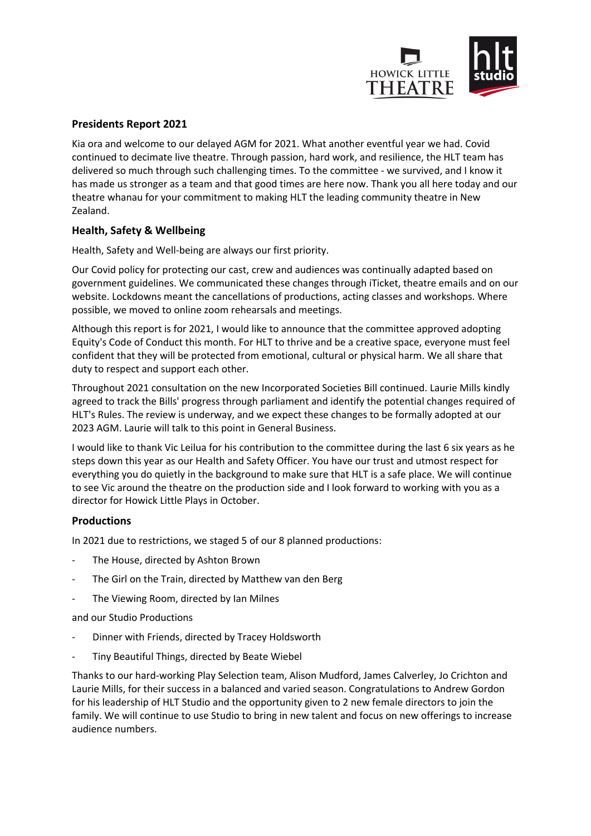

# **Presidents Report 2021**

Kia ora and welcome to our delayed AGM for 2021. What another eventful year we had. Covid continued to decimate live theatre. Through passion, hard work, and resilience, the HLT team has delivered so much through such challenging times. To the committee - we survived, and I know it has made us stronger as a team and that good times are here now. Thank you all here today and our theatre whanau for your commitment to making HLT the leading community theatre in New Zealand.

### **Health, Safety & Wellbeing**

Health, Safety and Well-being are always our first priority.

Our Covid policy for protecting our cast, crew and audiences was continually adapted based on government guidelines. We communicated these changes through iTicket, theatre emails and on our website. Lockdowns meant the cancellations of productions, acting classes and workshops. Where possible, we moved to online zoom rehearsals and meetings.

Although this report is for 2021, I would like to announce that the committee approved adopting Equity's Code of Conduct this month. For HLT to thrive and be a creative space, everyone must feel confident that they will be protected from emotional, cultural or physical harm. We all share that duty to respect and support each other.

Throughout 2021 consultation on the new Incorporated Societies Bill continued. Laurie Mills kindly agreed to track the Bills' progress through parliament and identify the potential changes required of HLT's Rules. The review is underway, and we expect these changes to be formally adopted at our 2023 AGM. Laurie will talk to this point in General Business.

I would like to thank Vic Leilua for his contribution to the committee during the last 6 six years as he steps down this year as our Health and Safety Officer. You have our trust and utmost respect for everything you do quietly in the background to make sure that HLT is a safe place. We will continue to see Vic around the theatre on the production side and I look forward to working with you as a director for Howick Little Plays in October.

#### **Productions**

In 2021 due to restrictions, we staged 5 of our 8 planned productions:

- The House, directed by Ashton Brown
- The Girl on the Train, directed by Matthew van den Berg
- The Viewing Room, directed by Ian Milnes

and our Studio Productions

- Dinner with Friends, directed by Tracey Holdsworth
- Tiny Beautiful Things, directed by Beate Wiebel

Thanks to our hard-working Play Selection team, Alison Mudford, James Calverley, Jo Crichton and Laurie Mills, for their success in a balanced and varied season. Congratulations to Andrew Gordon for his leadership of HLT Studio and the opportunity given to 2 new female directors to join the family. We will continue to use Studio to bring in new talent and focus on new offerings to increase audience numbers.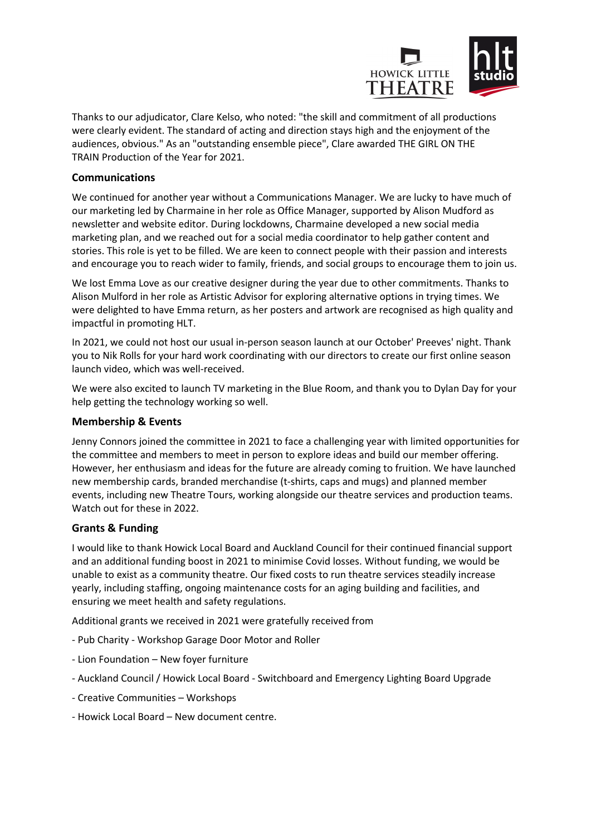

Thanks to our adjudicator, Clare Kelso, who noted: "the skill and commitment of all productions were clearly evident. The standard of acting and direction stays high and the enjoyment of the audiences, obvious." As an "outstanding ensemble piece", Clare awarded THE GIRL ON THE TRAIN Production of the Year for 2021.

# **Communications**

We continued for another year without a Communications Manager. We are lucky to have much of our marketing led by Charmaine in her role as Office Manager, supported by Alison Mudford as newsletter and website editor. During lockdowns, Charmaine developed a new social media marketing plan, and we reached out for a social media coordinator to help gather content and stories. This role is yet to be filled. We are keen to connect people with their passion and interests and encourage you to reach wider to family, friends, and social groups to encourage them to join us.

We lost Emma Love as our creative designer during the year due to other commitments. Thanks to Alison Mulford in her role as Artistic Advisor for exploring alternative options in trying times. We were delighted to have Emma return, as her posters and artwork are recognised as high quality and impactful in promoting HLT.

In 2021, we could not host our usual in-person season launch at our October' Preeves' night. Thank you to Nik Rolls for your hard work coordinating with our directors to create our first online season launch video, which was well-received.

We were also excited to launch TV marketing in the Blue Room, and thank you to Dylan Day for your help getting the technology working so well.

#### **Membership & Events**

Jenny Connors joined the committee in 2021 to face a challenging year with limited opportunities for the committee and members to meet in person to explore ideas and build our member offering. However, her enthusiasm and ideas for the future are already coming to fruition. We have launched new membership cards, branded merchandise (t-shirts, caps and mugs) and planned member events, including new Theatre Tours, working alongside our theatre services and production teams. Watch out for these in 2022.

#### **Grants & Funding**

I would like to thank Howick Local Board and Auckland Council for their continued financial support and an additional funding boost in 2021 to minimise Covid losses. Without funding, we would be unable to exist as a community theatre. Our fixed costs to run theatre services steadily increase yearly, including staffing, ongoing maintenance costs for an aging building and facilities, and ensuring we meet health and safety regulations.

Additional grants we received in 2021 were gratefully received from

- Pub Charity Workshop Garage Door Motor and Roller
- Lion Foundation New foyer furniture
- Auckland Council / Howick Local Board Switchboard and Emergency Lighting Board Upgrade
- Creative Communities Workshops
- Howick Local Board New document centre.